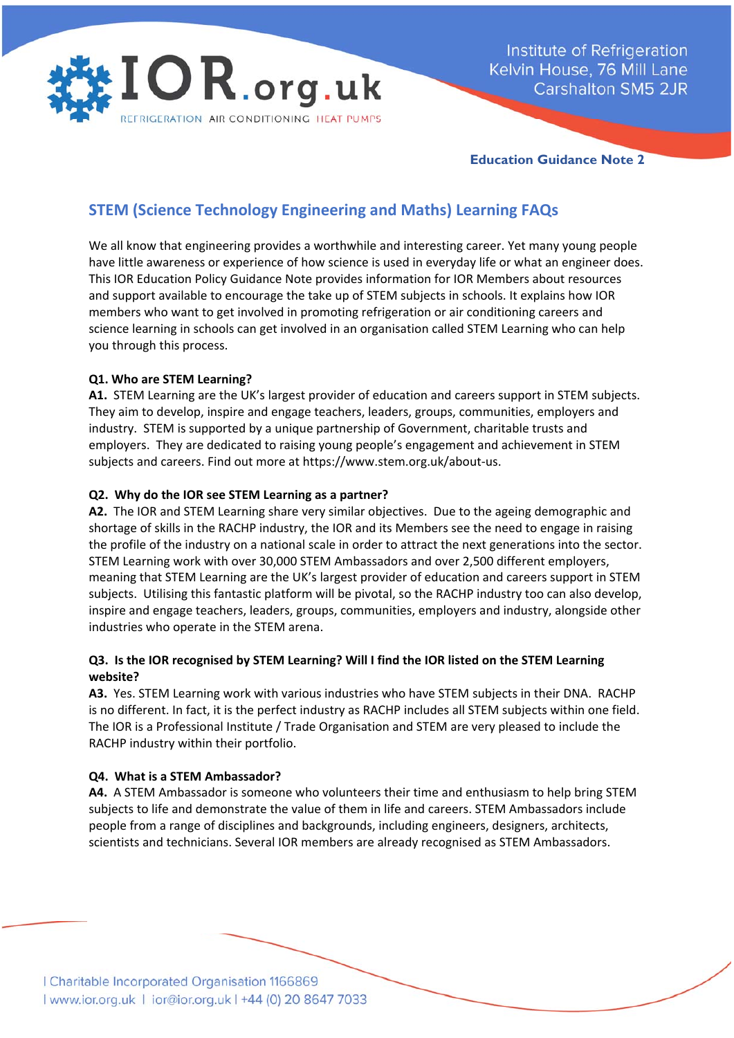

Institute of Refrigeration Kelvin House, 76 Mill Lane **Carshalton SM5 2JR** 

**Education Guidance Note 2** 

# **STEM (Science Technology Engineering and Maths) Learning FAQs**

We all know that engineering provides a worthwhile and interesting career. Yet many young people have little awareness or experience of how science is used in everyday life or what an engineer does. This IOR Education Policy Guidance Note provides information for IOR Members about resources and support available to encourage the take up of STEM subjects in schools. It explains how IOR members who want to get involved in promoting refrigeration or air conditioning careers and science learning in schools can get involved in an organisation called STEM Learning who can help you through this process.

# **Q1. Who are STEM Learning?**

**A1.** STEM Learning are the UK's largest provider of education and careers support in STEM subjects. They aim to develop, inspire and engage teachers, leaders, groups, communities, employers and industry. STEM is supported by a unique partnership of Government, charitable trusts and employers. They are dedicated to raising young people's engagement and achievement in STEM subjects and careers. Find out more at https://www.stem.org.uk/about‐us.

# **Q2. Why do the IOR see STEM Learning as a partner?**

**A2.** The IOR and STEM Learning share very similar objectives. Due to the ageing demographic and shortage of skills in the RACHP industry, the IOR and its Members see the need to engage in raising the profile of the industry on a national scale in order to attract the next generations into the sector. STEM Learning work with over 30,000 STEM Ambassadors and over 2,500 different employers, meaning that STEM Learning are the UK's largest provider of education and careers support in STEM subjects. Utilising this fantastic platform will be pivotal, so the RACHP industry too can also develop, inspire and engage teachers, leaders, groups, communities, employers and industry, alongside other industries who operate in the STEM arena.

# **Q3. Is the IOR recognised by STEM Learning? Will I find the IOR listed on the STEM Learning website?**

**A3.** Yes. STEM Learning work with various industries who have STEM subjects in their DNA. RACHP is no different. In fact, it is the perfect industry as RACHP includes all STEM subjects within one field. The IOR is a Professional Institute / Trade Organisation and STEM are very pleased to include the RACHP industry within their portfolio.

### **Q4. What is a STEM Ambassador?**

**A4.** A STEM Ambassador is someone who volunteers their time and enthusiasm to help bring STEM subjects to life and demonstrate the value of them in life and careers. STEM Ambassadors include people from a range of disciplines and backgrounds, including engineers, designers, architects, scientists and technicians. Several IOR members are already recognised as STEM Ambassadors.

| Charitable Incorporated Organisation 1166869<br>| www.ior.org.uk | ior@ior.org.uk | +44 (0) 20 8647 7033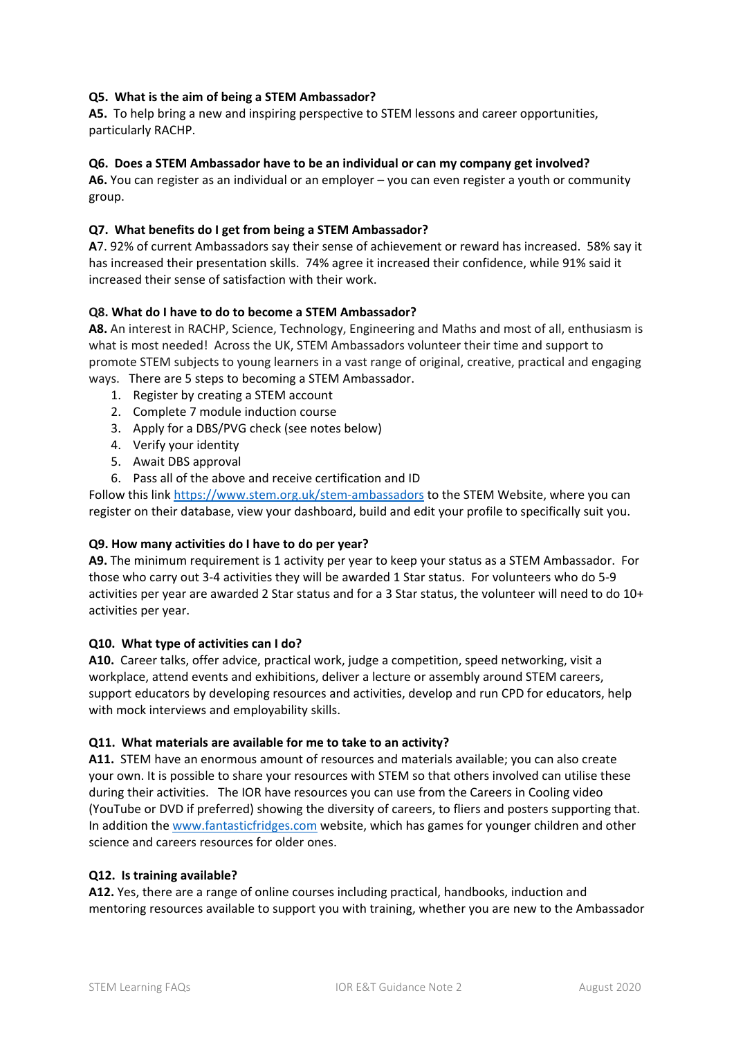### **Q5. What is the aim of being a STEM Ambassador?**

**A5.** To help bring a new and inspiring perspective to STEM lessons and career opportunities, particularly RACHP.

### **Q6. Does a STEM Ambassador have to be an individual or can my company get involved?**

**A6.** You can register as an individual or an employer – you can even register a youth or community group.

### **Q7. What benefits do I get from being a STEM Ambassador?**

**A**7. 92% of current Ambassadors say their sense of achievement or reward has increased. 58% say it has increased their presentation skills. 74% agree it increased their confidence, while 91% said it increased their sense of satisfaction with their work.

### **Q8. What do I have to do to become a STEM Ambassador?**

**A8.** An interest in RACHP, Science, Technology, Engineering and Maths and most of all, enthusiasm is what is most needed! Across the UK, STEM Ambassadors volunteer their time and support to promote STEM subjects to young learners in a vast range of original, creative, practical and engaging ways. There are 5 steps to becoming a STEM Ambassador.

- 1. Register by creating a STEM account
- 2. Complete 7 module induction course
- 3. Apply for a DBS/PVG check (see notes below)
- 4. Verify your identity
- 5. Await DBS approval
- 6. Pass all of the above and receive certification and ID

Follow this link https://www.stem.org.uk/stem-ambassadors to the STEM Website, where you can register on their database, view your dashboard, build and edit your profile to specifically suit you.

### **Q9. How many activities do I have to do per year?**

**A9.** The minimum requirement is 1 activity per year to keep your status as a STEM Ambassador. For those who carry out 3‐4 activities they will be awarded 1 Star status. For volunteers who do 5‐9 activities per year are awarded 2 Star status and for a 3 Star status, the volunteer will need to do 10+ activities per year.

### **Q10. What type of activities can I do?**

**A10.** Career talks, offer advice, practical work, judge a competition, speed networking, visit a workplace, attend events and exhibitions, deliver a lecture or assembly around STEM careers, support educators by developing resources and activities, develop and run CPD for educators, help with mock interviews and employability skills.

### **Q11. What materials are available for me to take to an activity?**

**A11.** STEM have an enormous amount of resources and materials available; you can also create your own. It is possible to share your resources with STEM so that others involved can utilise these during their activities. The IOR have resources you can use from the Careers in Cooling video (YouTube or DVD if preferred) showing the diversity of careers, to fliers and posters supporting that. In addition the www.fantasticfridges.com website, which has games for younger children and other science and careers resources for older ones.

### **Q12. Is training available?**

**A12.** Yes, there are a range of online courses including practical, handbooks, induction and mentoring resources available to support you with training, whether you are new to the Ambassador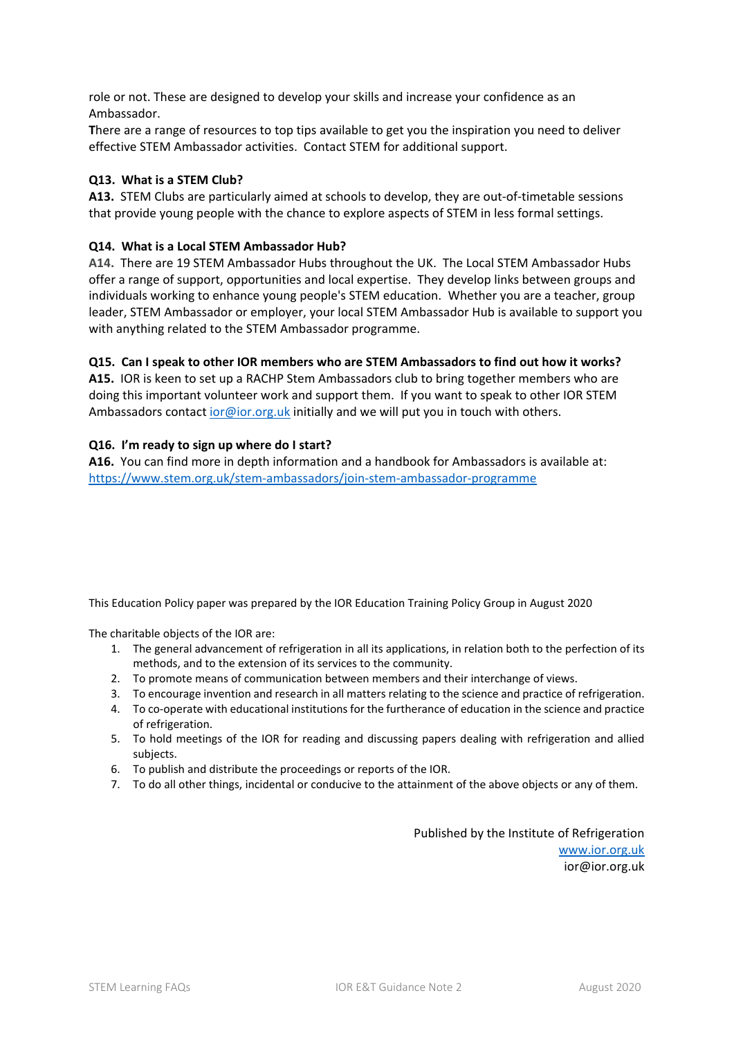role or not. These are designed to develop your skills and increase your confidence as an Ambassador.

**T**here are a range of resources to top tips available to get you the inspiration you need to deliver effective STEM Ambassador activities. Contact STEM for additional support.

### **Q13. What is a STEM Club?**

**A13.** STEM Clubs are particularly aimed at schools to develop, they are out‐of‐timetable sessions that provide young people with the chance to explore aspects of STEM in less formal settings.

### **Q14. What is a Local STEM Ambassador Hub?**

**A14.** There are 19 STEM Ambassador Hubs throughout the UK. The Local STEM Ambassador Hubs offer a range of support, opportunities and local expertise. They develop links between groups and individuals working to enhance young people's STEM education. Whether you are a teacher, group leader, STEM Ambassador or employer, your local STEM Ambassador Hub is available to support you with anything related to the STEM Ambassador programme.

# **Q15. Can I speak to other IOR members who are STEM Ambassadors to find out how it works?**

**A15.** IOR is keen to set up a RACHP Stem Ambassadors club to bring together members who are doing this important volunteer work and support them. If you want to speak to other IOR STEM Ambassadors contact ior@ior.org.uk initially and we will put you in touch with others.

# **Q16. I'm ready to sign up where do I start?**

**A16.** You can find more in depth information and a handbook for Ambassadors is available at: https://www.stem.org.uk/stem‐ambassadors/join‐stem‐ambassador‐programme

This Education Policy paper was prepared by the IOR Education Training Policy Group in August 2020

The charitable objects of the IOR are:

- 1. The general advancement of refrigeration in all its applications, in relation both to the perfection of its methods, and to the extension of its services to the community.
- 2. To promote means of communication between members and their interchange of views.
- 3. To encourage invention and research in all matters relating to the science and practice of refrigeration.
- 4. To co-operate with educational institutions for the furtherance of education in the science and practice of refrigeration.
- 5. To hold meetings of the IOR for reading and discussing papers dealing with refrigeration and allied subjects.
- 6. To publish and distribute the proceedings or reports of the IOR.
- 7. To do all other things, incidental or conducive to the attainment of the above objects or any of them.

Published by the Institute of Refrigeration www.ior.org.uk ior@ior.org.uk